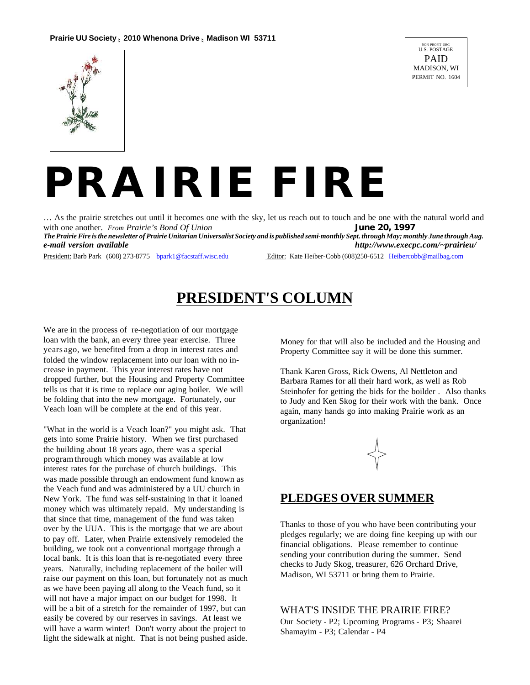

# *PRAIRIE FIRE*

… As the prairie stretches out until it becomes one with the sky, let us reach out to touch and be one with the natural world and with one another. *From Prairie's Bond Of Union* **June 20, 1997** 

*The Prairie Fire is the newsletter of Prairie Unitarian Universalist Society and is published semi-monthly Sept. through May; monthly June through Aug. e-mail version available http://www.execpc.com/~prairieu/*

President: Barb Park (608) 273-8775 bpark1@facstaff.wisc.edu Editor: Kate Heiber-Cobb (608)250-6512 Heibercobb@mailbag.com

### **PRESIDENT'S COLUMN**

We are in the process of re-negotiation of our mortgage loan with the bank, an every three year exercise. Three years ago, we benefited from a drop in interest rates and folded the window replacement into our loan with no increase in payment. This year interest rates have not dropped further, but the Housing and Property Committee tells us that it is time to replace our aging boiler. We will be folding that into the new mortgage. Fortunately, our Veach loan will be complete at the end of this year.

"What in the world is a Veach loan?" you might ask. That gets into some Prairie history. When we first purchased the building about 18 years ago, there was a special program through which money was available at low interest rates for the purchase of church buildings. This was made possible through an endowment fund known as the Veach fund and was administered by a UU church in New York. The fund was self-sustaining in that it loaned money which was ultimately repaid. My understanding is that since that time, management of the fund was taken over by the UUA. This is the mortgage that we are about to pay off. Later, when Prairie extensively remodeled the building, we took out a conventional mortgage through a local bank. It is this loan that is re-negotiated every three years. Naturally, including replacement of the boiler will raise our payment on this loan, but fortunately not as much as we have been paying all along to the Veach fund, so it will not have a major impact on our budget for 1998. It will be a bit of a stretch for the remainder of 1997, but can easily be covered by our reserves in savings. At least we will have a warm winter! Don't worry about the project to light the sidewalk at night. That is not being pushed aside.

Money for that will also be included and the Housing and Property Committee say it will be done this summer.

Thank Karen Gross, Rick Owens, Al Nettleton and Barbara Rames for all their hard work, as well as Rob Steinhofer for getting the bids for the boilder . Also thanks to Judy and Ken Skog for their work with the bank. Once again, many hands go into making Prairie work as an organization!



#### **PLEDGES OVER SUMMER**

Thanks to those of you who have been contributing your pledges regularly; we are doing fine keeping up with our financial obligations. Please remember to continue sending your contribution during the summer. Send checks to Judy Skog, treasurer, 626 Orchard Drive, Madison, WI 53711 or bring them to Prairie.

WHAT'S INSIDE THE PRAIRIE FIRE?

Our Society - P2; Upcoming Programs - P3; Shaarei Shamayim - P3; Calendar - P4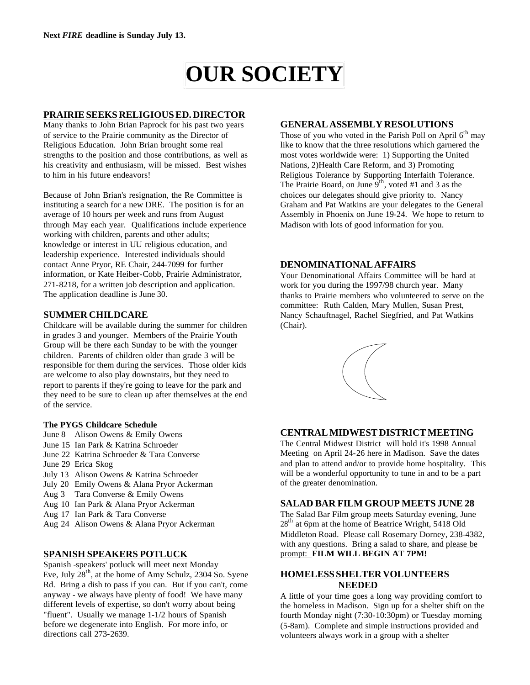# **OUR SOCIETY**

#### **PRAIRIE SEEKS RELIGIOUS ED. DIRECTOR**

Many thanks to John Brian Paprock for his past two years of service to the Prairie community as the Director of Religious Education. John Brian brought some real strengths to the position and those contributions, as well as his creativity and enthusiasm, will be missed. Best wishes to him in his future endeavors!

Because of John Brian's resignation, the Re Committee is instituting a search for a new DRE. The position is for an average of 10 hours per week and runs from August through May each year. Qualifications include experience working with children, parents and other adults; knowledge or interest in UU religious education, and leadership experience. Interested individuals should contact Anne Pryor, RE Chair, 244-7099 for further information, or Kate Heiber-Cobb, Prairie Administrator, 271-8218, for a written job description and application. The application deadline is June 30.

#### **SUMMER CHILDCARE**

Childcare will be available during the summer for children in grades 3 and younger. Members of the Prairie Youth Group will be there each Sunday to be with the younger children. Parents of children older than grade 3 will be responsible for them during the services. Those older kids are welcome to also play downstairs, but they need to report to parents if they're going to leave for the park and they need to be sure to clean up after themselves at the end of the service.

#### **The PYGS Childcare Schedule**

- June 8 Alison Owens & Emily Owens
- June 15 Ian Park & Katrina Schroeder
- June 22 Katrina Schroeder & Tara Converse
- June 29 Erica Skog
- July 13 Alison Owens & Katrina Schroeder
- July 20 Emily Owens & Alana Pryor Ackerman
- Aug 3 Tara Converse & Emily Owens
- Aug 10 Ian Park & Alana Pryor Ackerman
- Aug 17 Ian Park & Tara Converse
- Aug 24 Alison Owens & Alana Pryor Ackerman

#### **SPANISH SPEAKERS POTLUCK**

Spanish -speakers' potluck will meet next Monday Eve, July  $28<sup>th</sup>$ , at the home of Amy Schulz, 2304 So. Syene Rd. Bring a dish to pass if you can. But if you can't, come anyway - we always have plenty of food! We have many different levels of expertise, so don't worry about being "fluent". Usually we manage 1-1/2 hours of Spanish before we degenerate into English. For more info, or directions call 273-2639.

#### **GENERAL ASSEMBLY RESOLUTIONS**

Those of you who voted in the Parish Poll on April  $6<sup>th</sup>$  may like to know that the three resolutions which garnered the most votes worldwide were: 1) Supporting the United Nations, 2)Health Care Reform, and 3) Promoting Religious Tolerance by Supporting Interfaith Tolerance. The Prairie Board, on June  $9^{th}$ , voted #1 and 3 as the choices our delegates should give priority to. Nancy Graham and Pat Watkins are your delegates to the General Assembly in Phoenix on June 19-24. We hope to return to Madison with lots of good information for you.

#### **DENOMINATIONAL AFFAIRS**

Your Denominational Affairs Committee will be hard at work for you during the 1997/98 church year. Many thanks to Prairie members who volunteered to serve on the committee: Ruth Calden, Mary Mullen, Susan Prest, Nancy Schauftnagel, Rachel Siegfried, and Pat Watkins (Chair).



#### **CENTRAL MIDWEST DISTRICT MEETING**

The Central Midwest District will hold it's 1998 Annual Meeting on April 24-26 here in Madison. Save the dates and plan to attend and/or to provide home hospitality. This will be a wonderful opportunity to tune in and to be a part of the greater denomination.

#### **SALAD BAR FILM GROUP MEETS JUNE 28**

The Salad Bar Film group meets Saturday evening, June 28<sup>th</sup> at 6pm at the home of Beatrice Wright, 5418 Old Middleton Road. Please call Rosemary Dorney, 238-4382, with any questions. Bring a salad to share, and please be prompt: **FILM WILL BEGIN AT 7PM!**

#### **HOMELESS SHELTER VOLUNTEERS NEEDED**

A little of your time goes a long way providing comfort to the homeless in Madison. Sign up for a shelter shift on the fourth Monday night (7:30-10:30pm) or Tuesday morning (5-8am). Complete and simple instructions provided and volunteers always work in a group with a shelter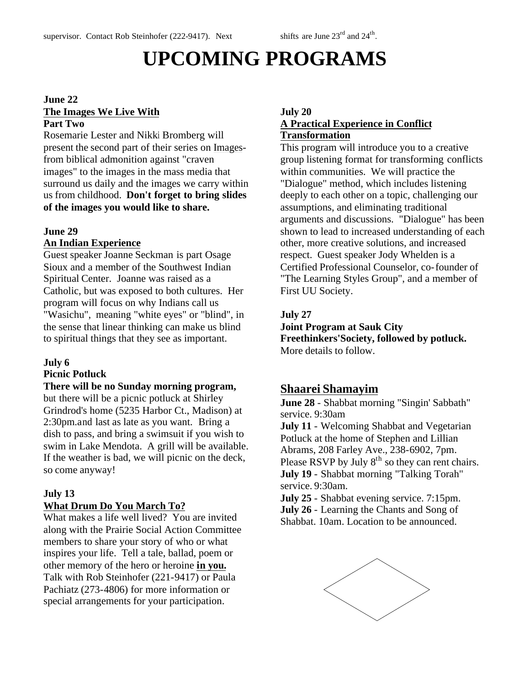# **UPCOMING PROGRAMS**

#### **June 22 The Images We Live With Part Two**

Rosemarie Lester and Nikki Bromberg will present the second part of their series on Imagesfrom biblical admonition against "craven images" to the images in the mass media that surround us daily and the images we carry within us from childhood. **Don't forget to bring slides of the images you would like to share.**

#### **June 29**

#### **An Indian Experience**

Guest speaker Joanne Seckman is part Osage Sioux and a member of the Southwest Indian Spiritual Center. Joanne was raised as a Catholic, but was exposed to both cultures. Her program will focus on why Indians call us "Wasichu", meaning "white eyes" or "blind", in the sense that linear thinking can make us blind to spiritual things that they see as important.

#### **July 6**

#### **Picnic Potluck**

#### **There will be no Sunday morning program,**

but there will be a picnic potluck at Shirley Grindrod's home (5235 Harbor Ct., Madison) at 2:30pm.and last as late as you want. Bring a dish to pass, and bring a swimsuit if you wish to swim in Lake Mendota. A grill will be available. If the weather is bad, we will picnic on the deck, so come anyway!

#### **July 13**

#### **What Drum Do You March To?**

What makes a life well lived? You are invited along with the Prairie Social Action Committee members to share your story of who or what inspires your life. Tell a tale, ballad, poem or other memory of the hero or heroine **in you.** Talk with Rob Steinhofer (221-9417) or Paula Pachiatz (273-4806) for more information or special arrangements for your participation.

#### **July 20 A Practical Experience in Conflict Transformation**

This program will introduce you to a creative group listening format for transforming conflicts within communities. We will practice the "Dialogue" method, which includes listening deeply to each other on a topic, challenging our assumptions, and eliminating traditional arguments and discussions. "Dialogue" has been shown to lead to increased understanding of each other, more creative solutions, and increased respect. Guest speaker Jody Whelden is a Certified Professional Counselor, co-founder of "The Learning Styles Group", and a member of First UU Society.

#### **July 27**

#### **Joint Program at Sauk City Freethinkers'Society, followed by potluck.**

More details to follow.

#### **Shaarei Shamayim**

**June 28** - Shabbat morning "Singin' Sabbath" service. 9:30am

**July 11** - Welcoming Shabbat and Vegetarian Potluck at the home of Stephen and Lillian Abrams, 208 Farley Ave., 238-6902, 7pm. Please RSVP by July  $8<sup>th</sup>$  so they can rent chairs. **July 19** - Shabbat morning "Talking Torah" service. 9:30am.

**July 25** - Shabbat evening service. 7:15pm. **July 26** - Learning the Chants and Song of Shabbat. 10am. Location to be announced.